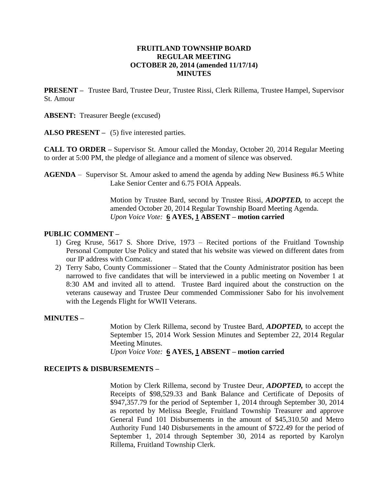## **FRUITLAND TOWNSHIP BOARD REGULAR MEETING OCTOBER 20, 2014 (amended 11/17/14) MINUTES**

**PRESENT –** Trustee Bard, Trustee Deur, Trustee Rissi, Clerk Rillema, Trustee Hampel, Supervisor St. Amour

**ABSENT:** Treasurer Beegle (excused)

**ALSO PRESENT –** (5) five interested parties.

**CALL TO ORDER –** Supervisor St. Amour called the Monday, October 20, 2014 Regular Meeting to order at 5:00 PM, the pledge of allegiance and a moment of silence was observed.

**AGENDA** – Supervisor St. Amour asked to amend the agenda by adding New Business #6.5 White Lake Senior Center and 6.75 FOIA Appeals.

> Motion by Trustee Bard, second by Trustee Rissi, *ADOPTED,* to accept the amended October 20, 2014 Regular Township Board Meeting Agenda. *Upon Voice Vote:* **6 AYES, 1 ABSENT – motion carried**

### **PUBLIC COMMENT –**

- 1) Greg Kruse, 5617 S. Shore Drive, 1973 Recited portions of the Fruitland Township Personal Computer Use Policy and stated that his website was viewed on different dates from our IP address with Comcast.
- 2) Terry Sabo, County Commissioner Stated that the County Administrator position has been narrowed to five candidates that will be interviewed in a public meeting on November 1 at 8:30 AM and invited all to attend. Trustee Bard inquired about the construction on the veterans causeway and Trustee Deur commended Commissioner Sabo for his involvement with the Legends Flight for WWII Veterans.

### **MINUTES –**

Motion by Clerk Rillema, second by Trustee Bard, *ADOPTED,* to accept the September 15, 2014 Work Session Minutes and September 22, 2014 Regular Meeting Minutes.

*Upon Voice Vote:* **6 AYES, 1 ABSENT – motion carried**

### **RECEIPTS & DISBURSEMENTS –**

Motion by Clerk Rillema, second by Trustee Deur, *ADOPTED,* to accept the Receipts of \$98,529.33 and Bank Balance and Certificate of Deposits of \$947,357.79 for the period of September 1, 2014 through September 30, 2014 as reported by Melissa Beegle, Fruitland Township Treasurer and approve General Fund 101 Disbursements in the amount of \$45,310.50 and Metro Authority Fund 140 Disbursements in the amount of \$722.49 for the period of September 1, 2014 through September 30, 2014 as reported by Karolyn Rillema, Fruitland Township Clerk.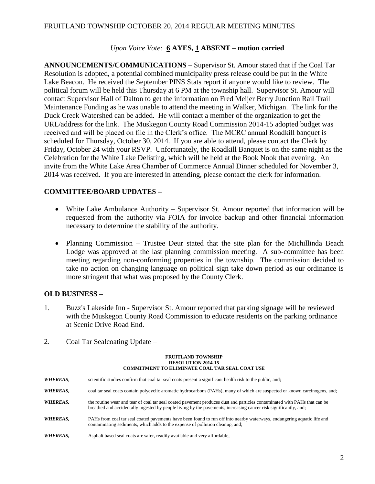## FRUITLAND TOWNSHIP OCTOBER 20, 2014 REGULAR MEETING MINUTES

## *Upon Voice Vote:* **6 AYES, 1 ABSENT – motion carried**

**ANNOUNCEMENTS/COMMUNICATIONS –** Supervisor St. Amour stated that if the Coal Tar Resolution is adopted, a potential combined municipality press release could be put in the White Lake Beacon. He received the September PINS Stats report if anyone would like to review. The political forum will be held this Thursday at 6 PM at the township hall. Supervisor St. Amour will contact Supervisor Hall of Dalton to get the information on Fred Meijer Berry Junction Rail Trail Maintenance Funding as he was unable to attend the meeting in Walker, Michigan. The link for the Duck Creek Watershed can be added. He will contact a member of the organization to get the URL/address for the link. The Muskegon County Road Commission 2014-15 adopted budget was received and will be placed on file in the Clerk's office. The MCRC annual Roadkill banquet is scheduled for Thursday, October 30, 2014. If you are able to attend, please contact the Clerk by Friday, October 24 with your RSVP. Unfortunately, the Roadkill Banquet is on the same night as the Celebration for the White Lake Delisting, which will be held at the Book Nook that evening. An invite from the White Lake Area Chamber of Commerce Annual Dinner scheduled for November 3, 2014 was received. If you are interested in attending, please contact the clerk for information.

## **COMMITTEE/BOARD UPDATES –**

- White Lake Ambulance Authority Supervisor St. Amour reported that information will be requested from the authority via FOIA for invoice backup and other financial information necessary to determine the stability of the authority.
- Planning Commission Trustee Deur stated that the site plan for the Michillinda Beach Lodge was approved at the last planning commission meeting. A sub-committee has been meeting regarding non-conforming properties in the township. The commission decided to take no action on changing language on political sign take down period as our ordinance is more stringent that what was proposed by the County Clerk.

### **OLD BUSINESS –**

- 1. Buzz's Lakeside Inn Supervisor St. Amour reported that parking signage will be reviewed with the Muskegon County Road Commission to educate residents on the parking ordinance at Scenic Drive Road End.
- 2. Coal Tar Sealcoating Update –

#### **FRUITLAND TOWNSHIP RESOLUTION 2014-15 COMMITMENT TO ELIMINATE COAL TAR SEAL COAT USE**

| <b>WHEREAS,</b> | scientific studies confirm that coal tar seal coats present a significant health risk to the public, and;                                                                                                                                     |
|-----------------|-----------------------------------------------------------------------------------------------------------------------------------------------------------------------------------------------------------------------------------------------|
| WHEREAS,        | coal tar seal coats contain polycyclic aromatic hydrocarbons (PAHs), many of which are suspected or known carcinogens, and;                                                                                                                   |
| WHEREAS,        | the routine wear and tear of coal tar seal coated pavement produces dust and particles contaminated with PAHs that can be<br>breathed and accidentally ingested by people living by the pavements, increasing cancer risk significantly, and; |
| WHEREAS,        | PAHs from coal tar seal coated pavements have been found to run off into nearby waterways, endangering aquatic life and<br>contaminating sediments, which adds to the expense of pollution cleanup, and;                                      |
| WHEREAS,        | Asphalt based seal coats are safer, readily available and very affordable.                                                                                                                                                                    |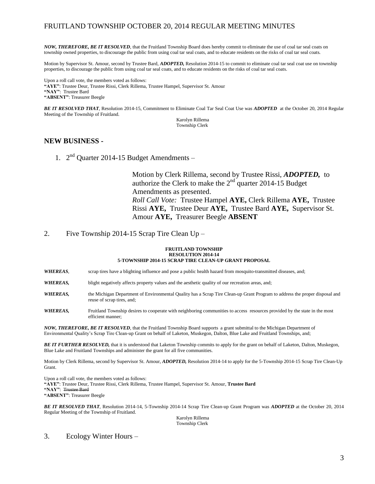## FRUITLAND TOWNSHIP OCTOBER 20, 2014 REGULAR MEETING MINUTES

*NOW, THEREFORE, BE IT RESOLVED*, that the Fruitland Township Board does hereby commit to eliminate the use of coal tar seal coats on township owned properties, to discourage the public from using coal tar seal coats, and to educate residents on the risks of coal tar seal coats.

Motion by Supervisor St. Amour, second by Trustee Bard, *ADOPTED,* Resolution 2014-15 to commit to eliminate coal tar seal coat use on township properties, to discourage the public from using coal tar seal coats, and to educate residents on the risks of coal tar seal coats.

Upon a roll call vote, the members voted as follows: **"AYE"**: Trustee Deur, Trustee Rissi, Clerk Rillema, Trustee Hampel, Supervisor St. Amour **"NAY"**: Trustee Bard **"ABSENT"**: Treasurer Beegle

*BE IT RESOLVED THAT*, Resolution 2014-15, Commitment to Eliminate Coal Tar Seal Coat Use was *ADOPTED* at the October 20, 2014 Regular Meeting of the Township of Fruitland.

Karolyn Rillema Township Clerk

### **NEW BUSINESS -**

1. 2<sup>nd</sup> Quarter 2014-15 Budget Amendments -

Motion by Clerk Rillema, second by Trustee Rissi, *ADOPTED,* to authorize the Clerk to make the  $2<sup>nd</sup>$  quarter 2014-15 Budget Amendments as presented. *Roll Call Vote:* Trustee Hampel **AYE,** Clerk Rillema **AYE,** Trustee Rissi **AYE,** Trustee Deur **AYE,** Trustee Bard **AYE,** Supervisor St. Amour **AYE,** Treasurer Beegle **ABSENT**

2. Five Township 2014-15 Scrap Tire Clean Up –

#### **FRUITLAND TOWNSHIP RESOLUTION 2014-14 5-TOWNSHIP 2014-15 SCRAP TIRE CLEAN-UP GRANT PROPOSAL**

*WHEREAS*, scrap tires have a blighting influence and pose a public health hazard from mosquito-transmitted diseases, and;

WHEREAS, blight negatively affects property values and the aesthetic quality of our recreation areas, and;

- *WHEREAS,* the Michigan Department of Environmental Quality has a Scrap Tire Clean-up Grant Program to address the proper disposal and reuse of scrap tires, and;
- *WHEREAS,* Fruitland Township desires to cooperate with neighboring communities to access resources provided by the state in the most efficient manner;

*NOW, THEREFORE, BE IT RESOLVED*, that the Fruitland Township Board supports a grant submittal to the Michigan Department of Environmental Quality's Scrap Tire Clean-up Grant on behalf of Laketon, Muskegon, Dalton, Blue Lake and Fruitland Townships, and;

*BE IT FURTHER RESOLVED,* that it is understood that Laketon Township commits to apply for the grant on behalf of Laketon, Dalton, Muskegon, Blue Lake and Fruitland Townships and administer the grant for all five communities.

Motion by Clerk Rillema, second by Supervisor St. Amour, *ADOPTED,* Resolution 2014-14 to apply for the 5-Township 2014-15 Scrap Tire Clean-Up Grant.

Upon a roll call vote, the members voted as follows: **"AYE"**: Trustee Deur, Trustee Rissi, Clerk Rillema, Trustee Hampel, Supervisor St. Amour, **Trustee Bard "NAY"**: Trustee Bard **"ABSENT"**: Treasurer Beegle

*BE IT RESOLVED THAT*, Resolution 2014-14, 5-Township 2014-14 Scrap Tire Clean-up Grant Program was *ADOPTED* at the October 20, 2014 Regular Meeting of the Township of Fruitland.

Karolyn Rillema Township Clerk

3. Ecology Winter Hours –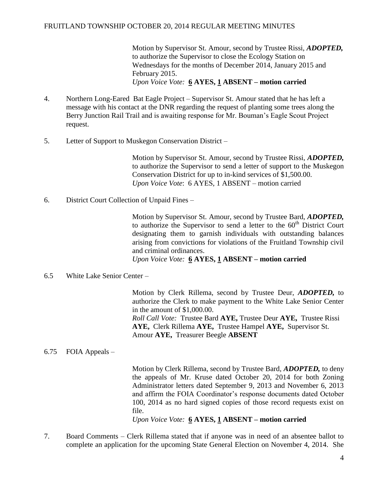## FRUITLAND TOWNSHIP OCTOBER 20, 2014 REGULAR MEETING MINUTES

Motion by Supervisor St. Amour, second by Trustee Rissi, *ADOPTED,*  to authorize the Supervisor to close the Ecology Station on Wednesdays for the months of December 2014, January 2015 and February 2015. *Upon Voice Vote:* **6 AYES, 1 ABSENT – motion carried**

- 4. Northern Long-Eared Bat Eagle Project Supervisor St. Amour stated that he has left a message with his contact at the DNR regarding the request of planting some trees along the Berry Junction Rail Trail and is awaiting response for Mr. Bouman's Eagle Scout Project request.
- 5. Letter of Support to Muskegon Conservation District –

Motion by Supervisor St. Amour, second by Trustee Rissi, *ADOPTED,*  to authorize the Supervisor to send a letter of support to the Muskegon Conservation District for up to in-kind services of \$1,500.00. *Upon Voice Vote*: 6 AYES, 1 ABSENT – motion carried

6. District Court Collection of Unpaid Fines –

Motion by Supervisor St. Amour, second by Trustee Bard, *ADOPTED,*  to authorize the Supervisor to send a letter to the  $60<sup>th</sup>$  District Court designating them to garnish individuals with outstanding balances arising from convictions for violations of the Fruitland Township civil and criminal ordinances. *Upon Voice Vote:* **6 AYES, 1 ABSENT – motion carried**

6.5 White Lake Senior Center –

Motion by Clerk Rillema, second by Trustee Deur, *ADOPTED,* to authorize the Clerk to make payment to the White Lake Senior Center in the amount of \$1,000.00. *Roll Call Vote:* Trustee Bard **AYE,** Trustee Deur **AYE,** Trustee Rissi **AYE,** Clerk Rillema **AYE,** Trustee Hampel **AYE,** Supervisor St. Amour **AYE,** Treasurer Beegle **ABSENT**

## 6.75 FOIA Appeals –

Motion by Clerk Rillema, second by Trustee Bard, *ADOPTED,* to deny the appeals of Mr. Kruse dated October 20, 2014 for both Zoning Administrator letters dated September 9, 2013 and November 6, 2013 and affirm the FOIA Coordinator's response documents dated October 100, 2014 as no hard signed copies of those record requests exist on file.

*Upon Voice Vote:* **6 AYES, 1 ABSENT – motion carried**

7. Board Comments – Clerk Rillema stated that if anyone was in need of an absentee ballot to complete an application for the upcoming State General Election on November 4, 2014. She